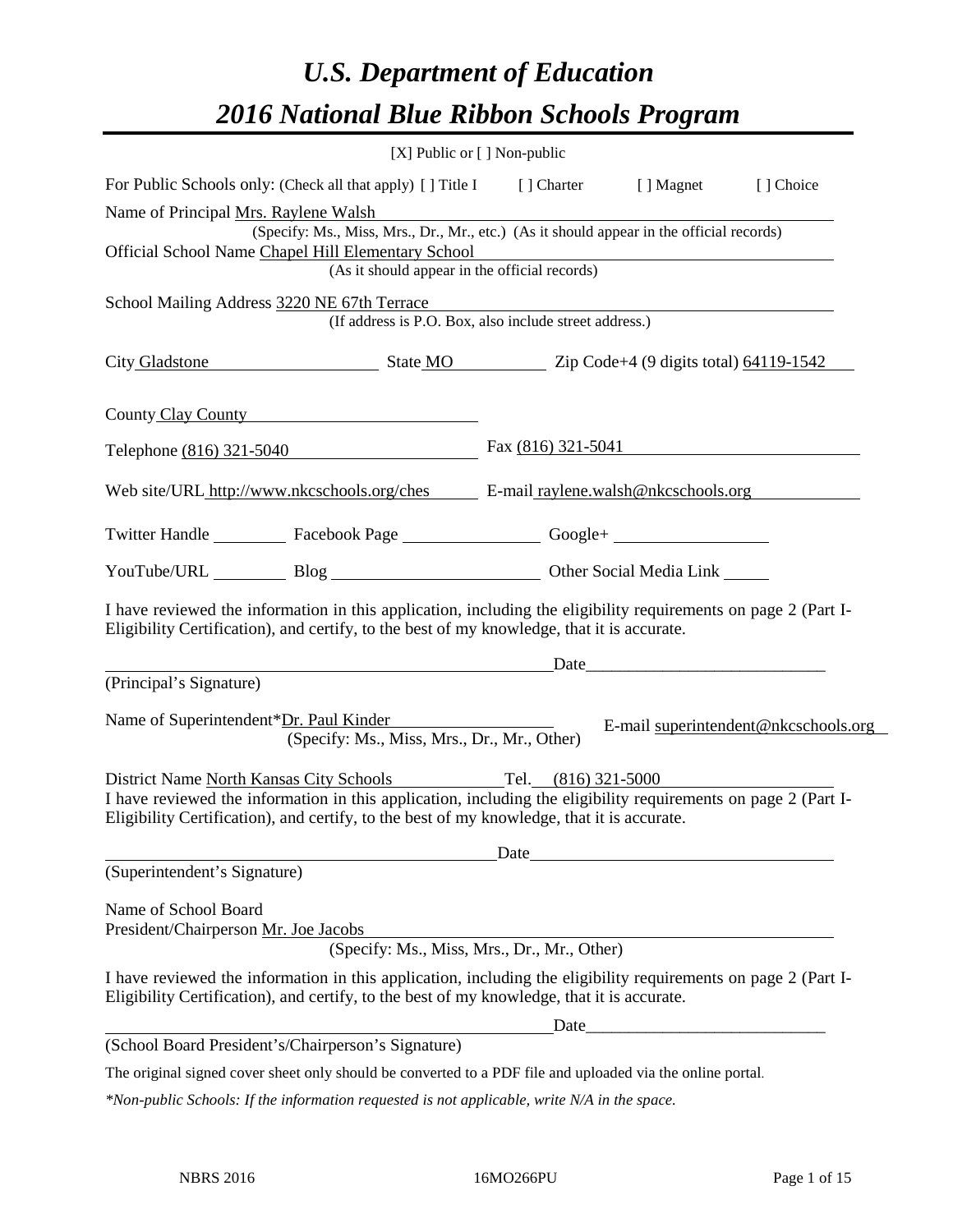# *U.S. Department of Education 2016 National Blue Ribbon Schools Program*

|                                                                                                                                                                                                                                                                             | [X] Public or [] Non-public                                                                                                               |                      |                                                                                                                                                                                                                               |                                      |
|-----------------------------------------------------------------------------------------------------------------------------------------------------------------------------------------------------------------------------------------------------------------------------|-------------------------------------------------------------------------------------------------------------------------------------------|----------------------|-------------------------------------------------------------------------------------------------------------------------------------------------------------------------------------------------------------------------------|--------------------------------------|
| For Public Schools only: (Check all that apply) [] Title I [] Charter [] Magnet                                                                                                                                                                                             |                                                                                                                                           |                      |                                                                                                                                                                                                                               | [] Choice                            |
| Name of Principal Mrs. Raylene Walsh                                                                                                                                                                                                                                        |                                                                                                                                           |                      |                                                                                                                                                                                                                               |                                      |
| Official School Name Chapel Hill Elementary School                                                                                                                                                                                                                          | (Specify: Ms., Miss, Mrs., Dr., Mr., etc.) (As it should appear in the official records)<br>(As it should appear in the official records) |                      |                                                                                                                                                                                                                               |                                      |
| School Mailing Address 3220 NE 67th Terrace                                                                                                                                                                                                                                 | (If address is P.O. Box, also include street address.)                                                                                    |                      |                                                                                                                                                                                                                               |                                      |
| City Gladstone State MO 2ip Code+4 (9 digits total) 64119-1542                                                                                                                                                                                                              |                                                                                                                                           |                      |                                                                                                                                                                                                                               |                                      |
| County Clay County                                                                                                                                                                                                                                                          |                                                                                                                                           |                      |                                                                                                                                                                                                                               |                                      |
| Telephone (816) 321-5040                                                                                                                                                                                                                                                    |                                                                                                                                           | Fax $(816)$ 321-5041 |                                                                                                                                                                                                                               |                                      |
| Web site/URL http://www.nkcschools.org/ches E-mail raylene.walsh@nkcschools.org                                                                                                                                                                                             |                                                                                                                                           |                      |                                                                                                                                                                                                                               |                                      |
| Twitter Handle ____________ Facebook Page _____________________ Google+ ____________________________                                                                                                                                                                        |                                                                                                                                           |                      |                                                                                                                                                                                                                               |                                      |
| YouTube/URL Blog Blog Other Social Media Link                                                                                                                                                                                                                               |                                                                                                                                           |                      |                                                                                                                                                                                                                               |                                      |
| I have reviewed the information in this application, including the eligibility requirements on page 2 (Part I-<br>Eligibility Certification), and certify, to the best of my knowledge, that it is accurate.                                                                |                                                                                                                                           |                      |                                                                                                                                                                                                                               |                                      |
|                                                                                                                                                                                                                                                                             |                                                                                                                                           |                      | Date and the same state of the state of the state of the state of the state of the state of the state of the state of the state of the state of the state of the state of the state of the state of the state of the state of |                                      |
| (Principal's Signature)                                                                                                                                                                                                                                                     |                                                                                                                                           |                      |                                                                                                                                                                                                                               |                                      |
| Name of Superintendent*Dr. Paul Kinder                                                                                                                                                                                                                                      | (Specify: Ms., Miss, Mrs., Dr., Mr., Other)                                                                                               |                      |                                                                                                                                                                                                                               | E-mail superintendent@nkcschools.org |
| District Name North Kansas City Schools Tel. (816) 321-5000<br>I have reviewed the information in this application, including the eligibility requirements on page 2 (Part I-<br>Eligibility Certification), and certify, to the best of my knowledge, that it is accurate. |                                                                                                                                           |                      |                                                                                                                                                                                                                               |                                      |
| (Superintendent's Signature)                                                                                                                                                                                                                                                |                                                                                                                                           |                      | Date has been a series of the series of the series of the series of the series of the series of the series of the series of the series of the series of the series of the series of the series of the series of the series of |                                      |
| Name of School Board<br>President/Chairperson Mr. Joe Jacobs                                                                                                                                                                                                                | (Specify: Ms., Miss, Mrs., Dr., Mr., Other)                                                                                               |                      |                                                                                                                                                                                                                               |                                      |
| I have reviewed the information in this application, including the eligibility requirements on page 2 (Part I-<br>Eligibility Certification), and certify, to the best of my knowledge, that it is accurate.                                                                |                                                                                                                                           |                      |                                                                                                                                                                                                                               |                                      |
|                                                                                                                                                                                                                                                                             |                                                                                                                                           |                      |                                                                                                                                                                                                                               |                                      |
| (School Board President's/Chairperson's Signature)                                                                                                                                                                                                                          |                                                                                                                                           |                      |                                                                                                                                                                                                                               |                                      |
| The original signed cover sheet only should be converted to a PDF file and uploaded via the online portal.                                                                                                                                                                  |                                                                                                                                           |                      |                                                                                                                                                                                                                               |                                      |

*\*Non-public Schools: If the information requested is not applicable, write N/A in the space.*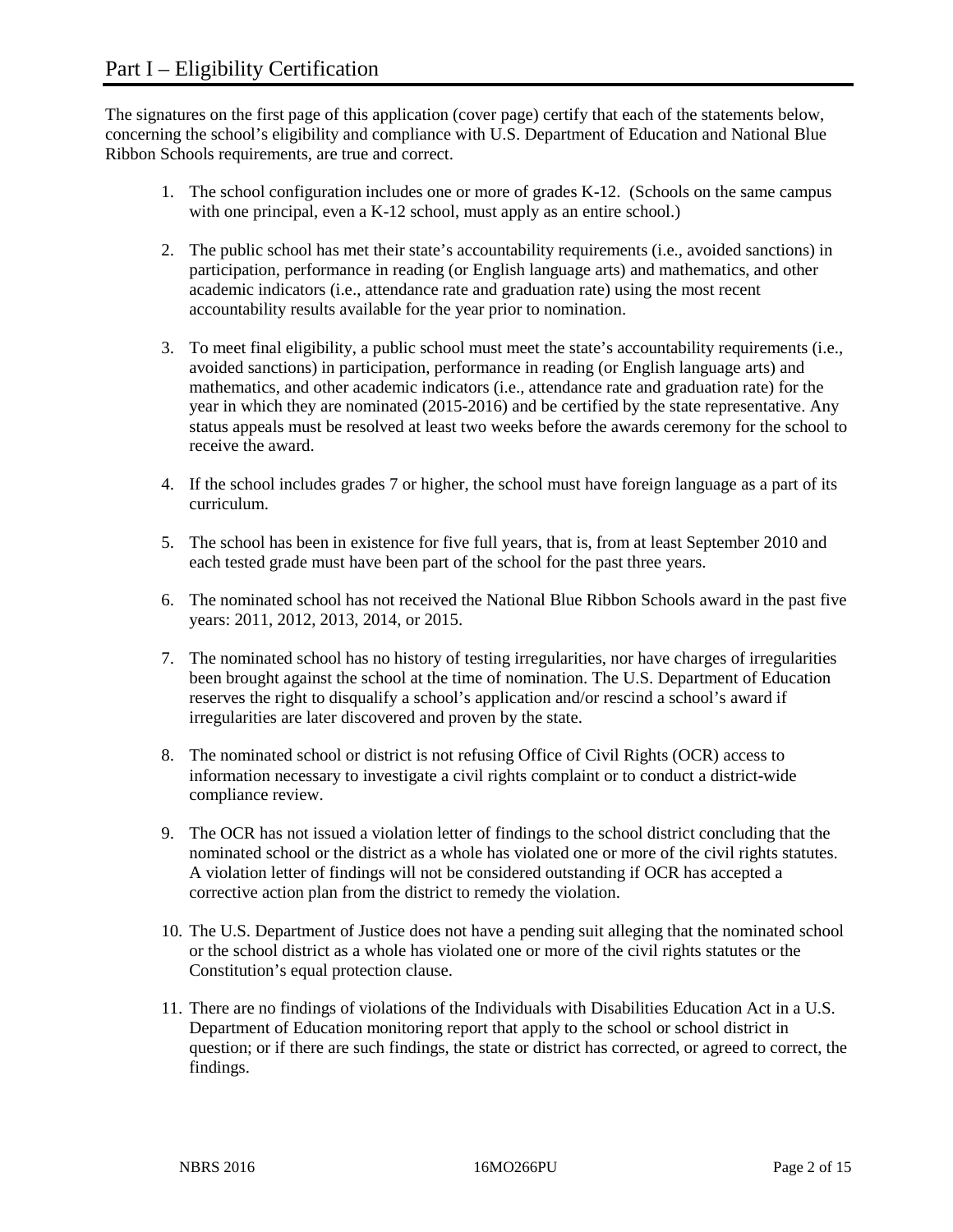The signatures on the first page of this application (cover page) certify that each of the statements below, concerning the school's eligibility and compliance with U.S. Department of Education and National Blue Ribbon Schools requirements, are true and correct.

- 1. The school configuration includes one or more of grades K-12. (Schools on the same campus with one principal, even a K-12 school, must apply as an entire school.)
- 2. The public school has met their state's accountability requirements (i.e., avoided sanctions) in participation, performance in reading (or English language arts) and mathematics, and other academic indicators (i.e., attendance rate and graduation rate) using the most recent accountability results available for the year prior to nomination.
- 3. To meet final eligibility, a public school must meet the state's accountability requirements (i.e., avoided sanctions) in participation, performance in reading (or English language arts) and mathematics, and other academic indicators (i.e., attendance rate and graduation rate) for the year in which they are nominated (2015-2016) and be certified by the state representative. Any status appeals must be resolved at least two weeks before the awards ceremony for the school to receive the award.
- 4. If the school includes grades 7 or higher, the school must have foreign language as a part of its curriculum.
- 5. The school has been in existence for five full years, that is, from at least September 2010 and each tested grade must have been part of the school for the past three years.
- 6. The nominated school has not received the National Blue Ribbon Schools award in the past five years: 2011, 2012, 2013, 2014, or 2015.
- 7. The nominated school has no history of testing irregularities, nor have charges of irregularities been brought against the school at the time of nomination. The U.S. Department of Education reserves the right to disqualify a school's application and/or rescind a school's award if irregularities are later discovered and proven by the state.
- 8. The nominated school or district is not refusing Office of Civil Rights (OCR) access to information necessary to investigate a civil rights complaint or to conduct a district-wide compliance review.
- 9. The OCR has not issued a violation letter of findings to the school district concluding that the nominated school or the district as a whole has violated one or more of the civil rights statutes. A violation letter of findings will not be considered outstanding if OCR has accepted a corrective action plan from the district to remedy the violation.
- 10. The U.S. Department of Justice does not have a pending suit alleging that the nominated school or the school district as a whole has violated one or more of the civil rights statutes or the Constitution's equal protection clause.
- 11. There are no findings of violations of the Individuals with Disabilities Education Act in a U.S. Department of Education monitoring report that apply to the school or school district in question; or if there are such findings, the state or district has corrected, or agreed to correct, the findings.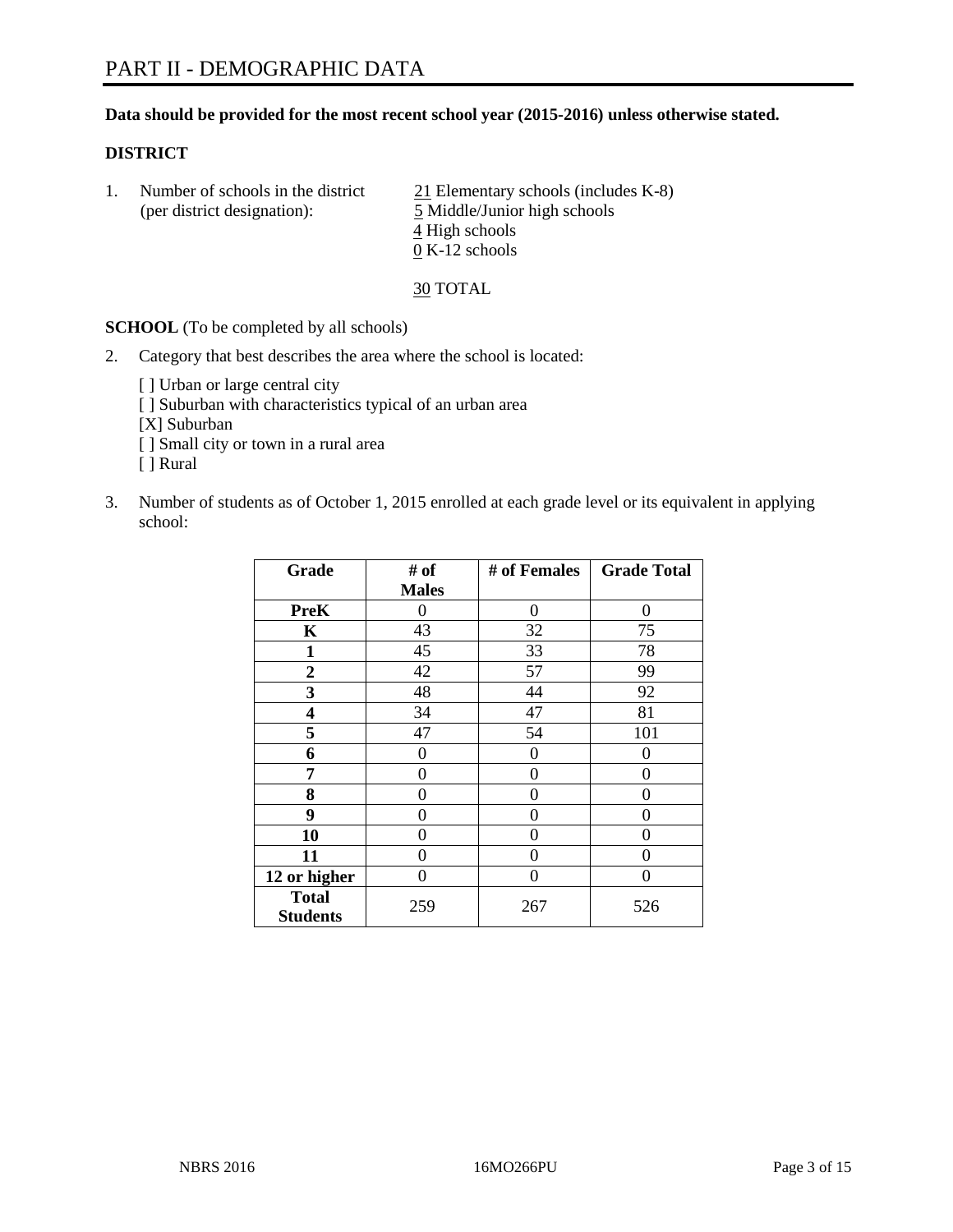## **Data should be provided for the most recent school year (2015-2016) unless otherwise stated.**

## **DISTRICT**

1. Number of schools in the district  $21$  Elementary schools (includes K-8) (per district designation): 5 Middle/Junior high schools 4 High schools 0 K-12 schools

30 TOTAL

**SCHOOL** (To be completed by all schools)

- 2. Category that best describes the area where the school is located:
	- [] Urban or large central city [ ] Suburban with characteristics typical of an urban area [X] Suburban [ ] Small city or town in a rural area [ ] Rural
- 3. Number of students as of October 1, 2015 enrolled at each grade level or its equivalent in applying school:

| Grade                           | # of         | # of Females | <b>Grade Total</b> |
|---------------------------------|--------------|--------------|--------------------|
|                                 | <b>Males</b> |              |                    |
| <b>PreK</b>                     | 0            | $\theta$     | 0                  |
| K                               | 43           | 32           | 75                 |
| 1                               | 45           | 33           | 78                 |
| $\overline{2}$                  | 42           | 57           | 99                 |
| 3                               | 48           | 44           | 92                 |
| 4                               | 34           | 47           | 81                 |
| 5                               | 47           | 54           | 101                |
| 6                               | 0            | 0            | $\mathbf{\Omega}$  |
| 7                               | 0            | 0            | 0                  |
| 8                               | 0            | 0            | 0                  |
| 9                               | 0            | 0            | 0                  |
| 10                              | 0            | 0            | $\theta$           |
| 11                              | 0            | 0            | $\Omega$           |
| 12 or higher                    | 0            | 0            | 0                  |
| <b>Total</b><br><b>Students</b> | 259          | 267          | 526                |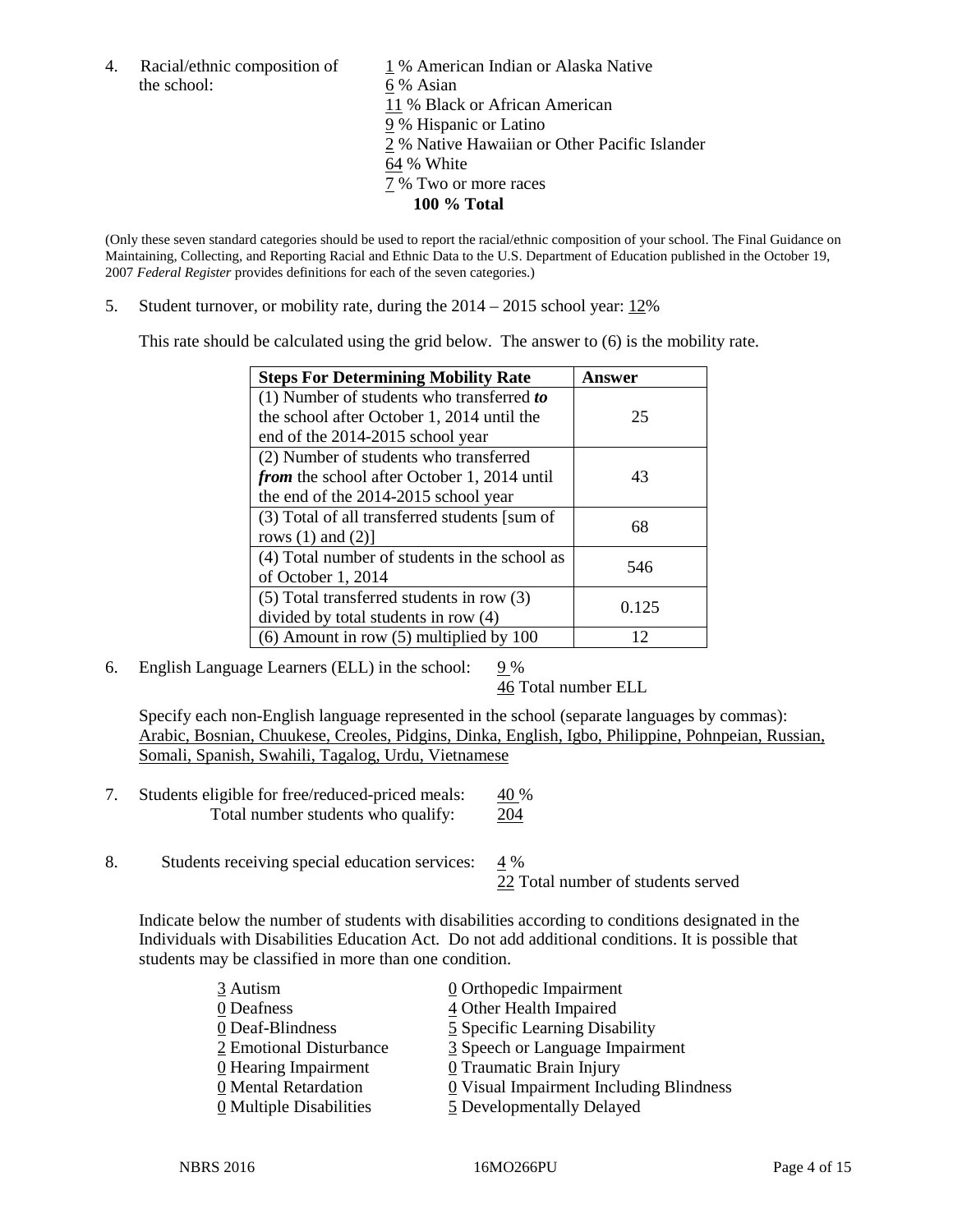the school: 6 % Asian

4. Racial/ethnic composition of  $1\%$  American Indian or Alaska Native 11 % Black or African American 9 % Hispanic or Latino 2 % Native Hawaiian or Other Pacific Islander 64 % White 7 % Two or more races **100 % Total**

(Only these seven standard categories should be used to report the racial/ethnic composition of your school. The Final Guidance on Maintaining, Collecting, and Reporting Racial and Ethnic Data to the U.S. Department of Education published in the October 19, 2007 *Federal Register* provides definitions for each of the seven categories.)

5. Student turnover, or mobility rate, during the 2014 – 2015 school year: 12%

This rate should be calculated using the grid below. The answer to (6) is the mobility rate.

| <b>Steps For Determining Mobility Rate</b>         | Answer |  |
|----------------------------------------------------|--------|--|
| (1) Number of students who transferred to          |        |  |
| the school after October 1, 2014 until the         | 25     |  |
| end of the 2014-2015 school year                   |        |  |
| (2) Number of students who transferred             |        |  |
| <i>from</i> the school after October 1, 2014 until | 43     |  |
| the end of the 2014-2015 school year               |        |  |
| (3) Total of all transferred students [sum of      | 68     |  |
| rows $(1)$ and $(2)$ ]                             |        |  |
| (4) Total number of students in the school as      | 546    |  |
| of October 1, 2014                                 |        |  |
| $(5)$ Total transferred students in row $(3)$      | 0.125  |  |
| divided by total students in row (4)               |        |  |
| $(6)$ Amount in row $(5)$ multiplied by 100        | 12     |  |

6. English Language Learners (ELL) in the school:  $9\%$ 

46 Total number ELL

Specify each non-English language represented in the school (separate languages by commas): Arabic, Bosnian, Chuukese, Creoles, Pidgins, Dinka, English, Igbo, Philippine, Pohnpeian, Russian, Somali, Spanish, Swahili, Tagalog, Urdu, Vietnamese

- 7. Students eligible for free/reduced-priced meals:  $40\%$ Total number students who qualify: 204
- 8. Students receiving special education services:  $4\%$

22 Total number of students served

Indicate below the number of students with disabilities according to conditions designated in the Individuals with Disabilities Education Act. Do not add additional conditions. It is possible that students may be classified in more than one condition.

| 3 Autism                              | $\underline{0}$ Orthopedic Impairment     |
|---------------------------------------|-------------------------------------------|
| 0 Deafness                            | 4 Other Health Impaired                   |
| 0 Deaf-Blindness                      | 5 Specific Learning Disability            |
| 2 Emotional Disturbance               | 3 Speech or Language Impairment           |
| 0 Hearing Impairment                  | 0 Traumatic Brain Injury                  |
| 0 Mental Retardation                  | $Q$ Visual Impairment Including Blindness |
| $\underline{0}$ Multiple Disabilities | 5 Developmentally Delayed                 |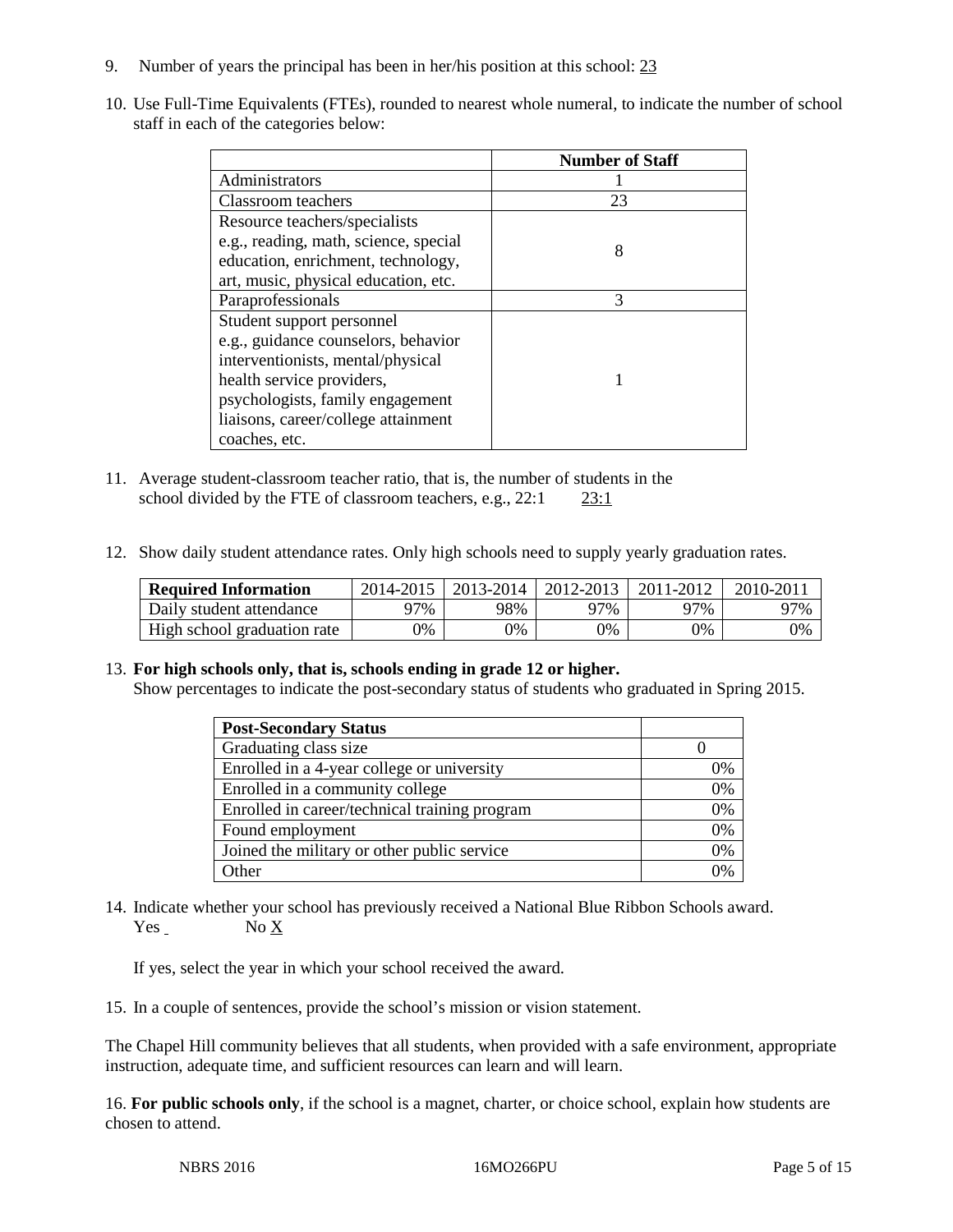- 9. Number of years the principal has been in her/his position at this school: 23
- 10. Use Full-Time Equivalents (FTEs), rounded to nearest whole numeral, to indicate the number of school staff in each of the categories below:

|                                       | <b>Number of Staff</b> |
|---------------------------------------|------------------------|
| Administrators                        |                        |
| Classroom teachers                    | 23                     |
| Resource teachers/specialists         |                        |
| e.g., reading, math, science, special | 8                      |
| education, enrichment, technology,    |                        |
| art, music, physical education, etc.  |                        |
| Paraprofessionals                     | 3                      |
| Student support personnel             |                        |
| e.g., guidance counselors, behavior   |                        |
| interventionists, mental/physical     |                        |
| health service providers,             |                        |
| psychologists, family engagement      |                        |
| liaisons, career/college attainment   |                        |
| coaches, etc.                         |                        |

- 11. Average student-classroom teacher ratio, that is, the number of students in the school divided by the FTE of classroom teachers, e.g., 22:1 23:1
- 12. Show daily student attendance rates. Only high schools need to supply yearly graduation rates.

| <b>Required Information</b> | 2014-2015 | $2013 - 2014$ | 2012-2013 | 2011-2012 | 2010-2011 |
|-----------------------------|-----------|---------------|-----------|-----------|-----------|
| Daily student attendance    | ን7%       | 98%           | 97%       | 97%       | 97%       |
| High school graduation rate | 9%        | $9\%$         | 9%        | 9%        | 0%        |

## 13. **For high schools only, that is, schools ending in grade 12 or higher.**

Show percentages to indicate the post-secondary status of students who graduated in Spring 2015.

| <b>Post-Secondary Status</b>                  |    |
|-----------------------------------------------|----|
| Graduating class size                         |    |
| Enrolled in a 4-year college or university    | 0% |
| Enrolled in a community college               | 0% |
| Enrolled in career/technical training program | 0% |
| Found employment                              | 0% |
| Joined the military or other public service   | 0% |
| Other                                         | 0/ |

14. Indicate whether your school has previously received a National Blue Ribbon Schools award. Yes No X

If yes, select the year in which your school received the award.

15. In a couple of sentences, provide the school's mission or vision statement.

The Chapel Hill community believes that all students, when provided with a safe environment, appropriate instruction, adequate time, and sufficient resources can learn and will learn.

16. **For public schools only**, if the school is a magnet, charter, or choice school, explain how students are chosen to attend.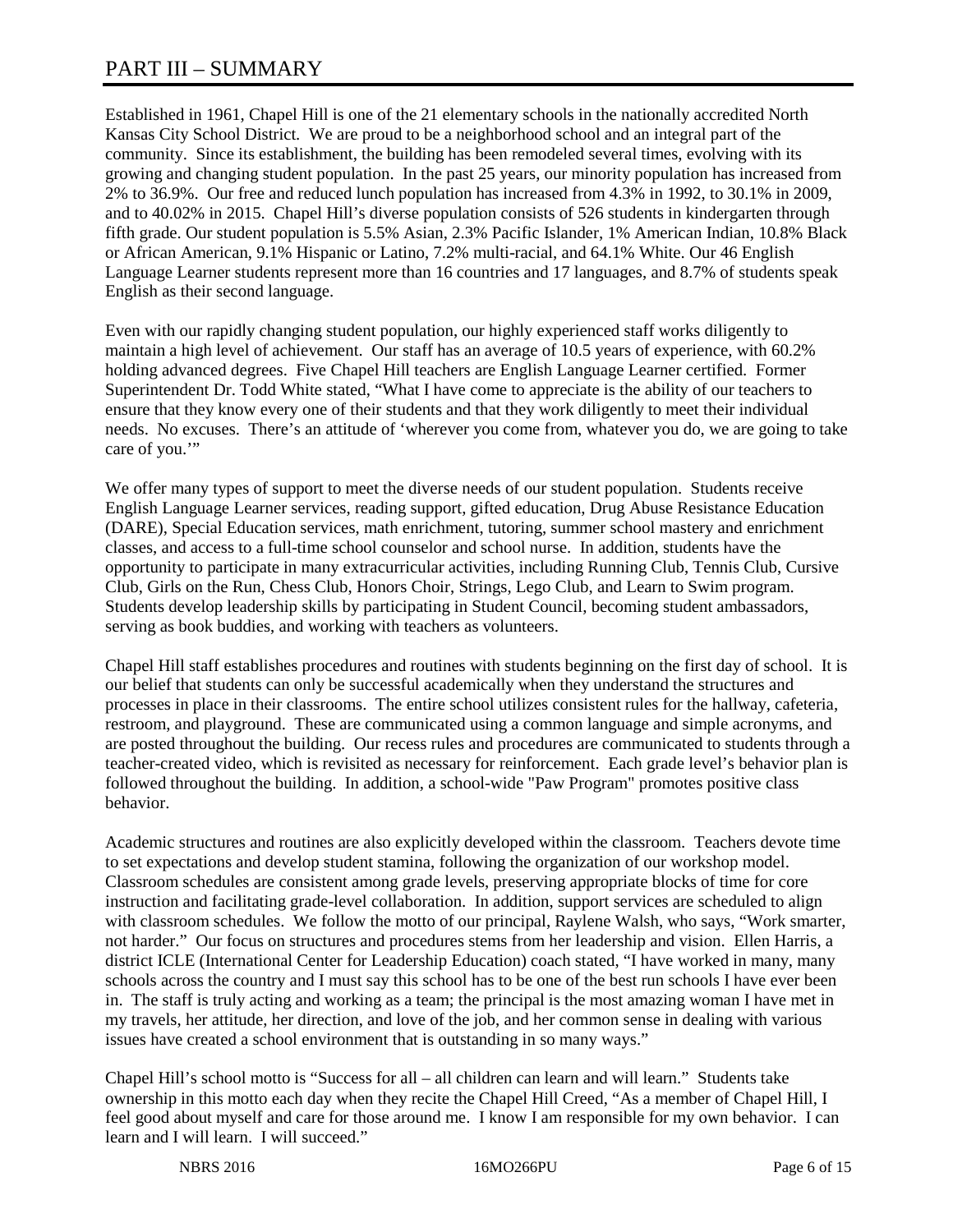# PART III – SUMMARY

Established in 1961, Chapel Hill is one of the 21 elementary schools in the nationally accredited North Kansas City School District. We are proud to be a neighborhood school and an integral part of the community. Since its establishment, the building has been remodeled several times, evolving with its growing and changing student population. In the past 25 years, our minority population has increased from 2% to 36.9%. Our free and reduced lunch population has increased from 4.3% in 1992, to 30.1% in 2009, and to 40.02% in 2015. Chapel Hill's diverse population consists of 526 students in kindergarten through fifth grade. Our student population is 5.5% Asian, 2.3% Pacific Islander, 1% American Indian, 10.8% Black or African American, 9.1% Hispanic or Latino, 7.2% multi-racial, and 64.1% White. Our 46 English Language Learner students represent more than 16 countries and 17 languages, and 8.7% of students speak English as their second language.

Even with our rapidly changing student population, our highly experienced staff works diligently to maintain a high level of achievement. Our staff has an average of 10.5 years of experience, with 60.2% holding advanced degrees. Five Chapel Hill teachers are English Language Learner certified. Former Superintendent Dr. Todd White stated, "What I have come to appreciate is the ability of our teachers to ensure that they know every one of their students and that they work diligently to meet their individual needs. No excuses. There's an attitude of 'wherever you come from, whatever you do, we are going to take care of you."

We offer many types of support to meet the diverse needs of our student population. Students receive English Language Learner services, reading support, gifted education, Drug Abuse Resistance Education (DARE), Special Education services, math enrichment, tutoring, summer school mastery and enrichment classes, and access to a full-time school counselor and school nurse. In addition, students have the opportunity to participate in many extracurricular activities, including Running Club, Tennis Club, Cursive Club, Girls on the Run, Chess Club, Honors Choir, Strings, Lego Club, and Learn to Swim program. Students develop leadership skills by participating in Student Council, becoming student ambassadors, serving as book buddies, and working with teachers as volunteers.

Chapel Hill staff establishes procedures and routines with students beginning on the first day of school. It is our belief that students can only be successful academically when they understand the structures and processes in place in their classrooms. The entire school utilizes consistent rules for the hallway, cafeteria, restroom, and playground. These are communicated using a common language and simple acronyms, and are posted throughout the building. Our recess rules and procedures are communicated to students through a teacher-created video, which is revisited as necessary for reinforcement. Each grade level's behavior plan is followed throughout the building. In addition, a school-wide "Paw Program" promotes positive class behavior.

Academic structures and routines are also explicitly developed within the classroom. Teachers devote time to set expectations and develop student stamina, following the organization of our workshop model. Classroom schedules are consistent among grade levels, preserving appropriate blocks of time for core instruction and facilitating grade-level collaboration. In addition, support services are scheduled to align with classroom schedules. We follow the motto of our principal, Raylene Walsh, who says, "Work smarter, not harder." Our focus on structures and procedures stems from her leadership and vision. Ellen Harris, a district ICLE (International Center for Leadership Education) coach stated, "I have worked in many, many schools across the country and I must say this school has to be one of the best run schools I have ever been in. The staff is truly acting and working as a team; the principal is the most amazing woman I have met in my travels, her attitude, her direction, and love of the job, and her common sense in dealing with various issues have created a school environment that is outstanding in so many ways."

Chapel Hill's school motto is "Success for all – all children can learn and will learn." Students take ownership in this motto each day when they recite the Chapel Hill Creed, "As a member of Chapel Hill, I feel good about myself and care for those around me. I know I am responsible for my own behavior. I can learn and I will learn. I will succeed."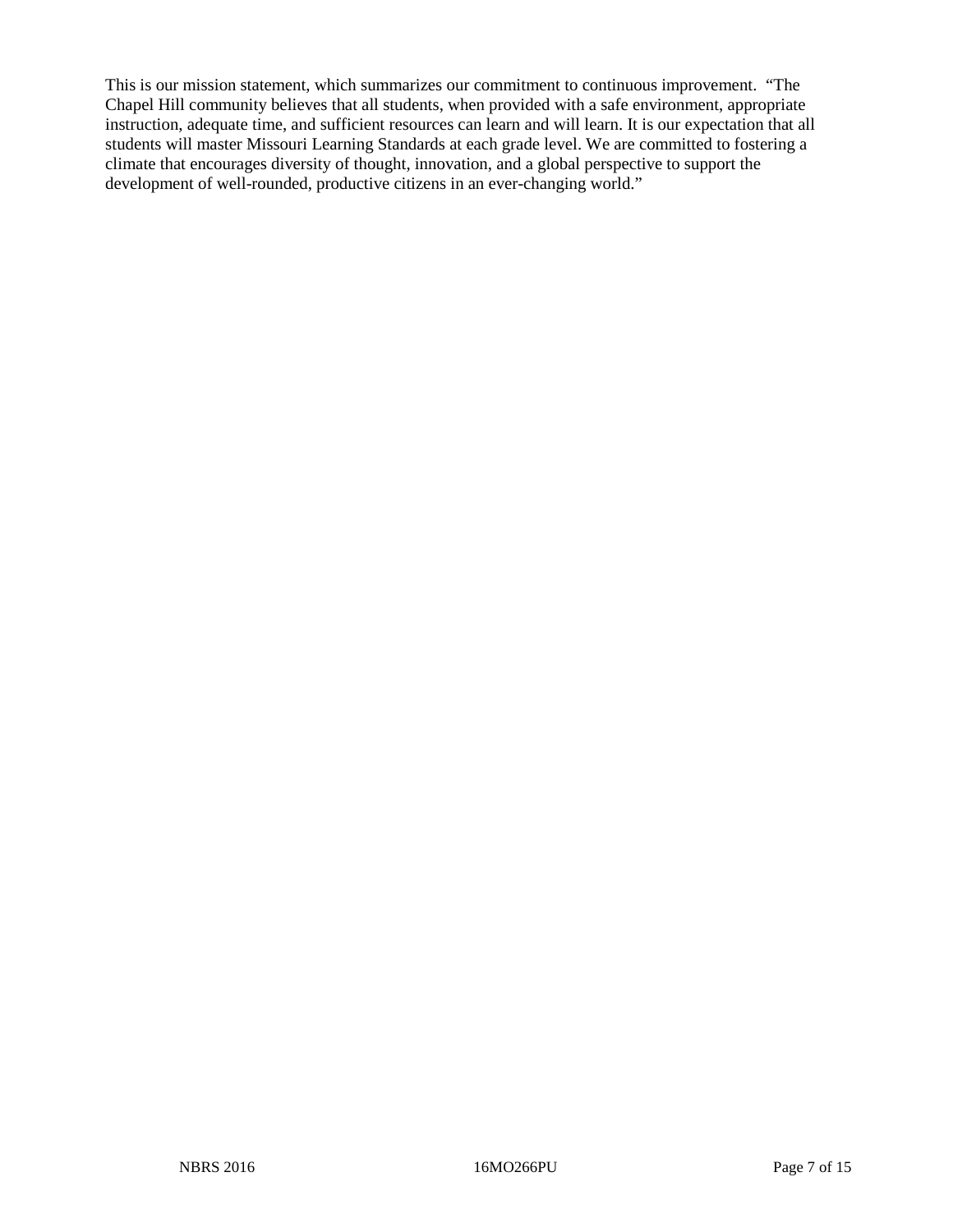This is our mission statement, which summarizes our commitment to continuous improvement. "The Chapel Hill community believes that all students, when provided with a safe environment, appropriate instruction, adequate time, and sufficient resources can learn and will learn. It is our expectation that all students will master Missouri Learning Standards at each grade level. We are committed to fostering a climate that encourages diversity of thought, innovation, and a global perspective to support the development of well-rounded, productive citizens in an ever-changing world."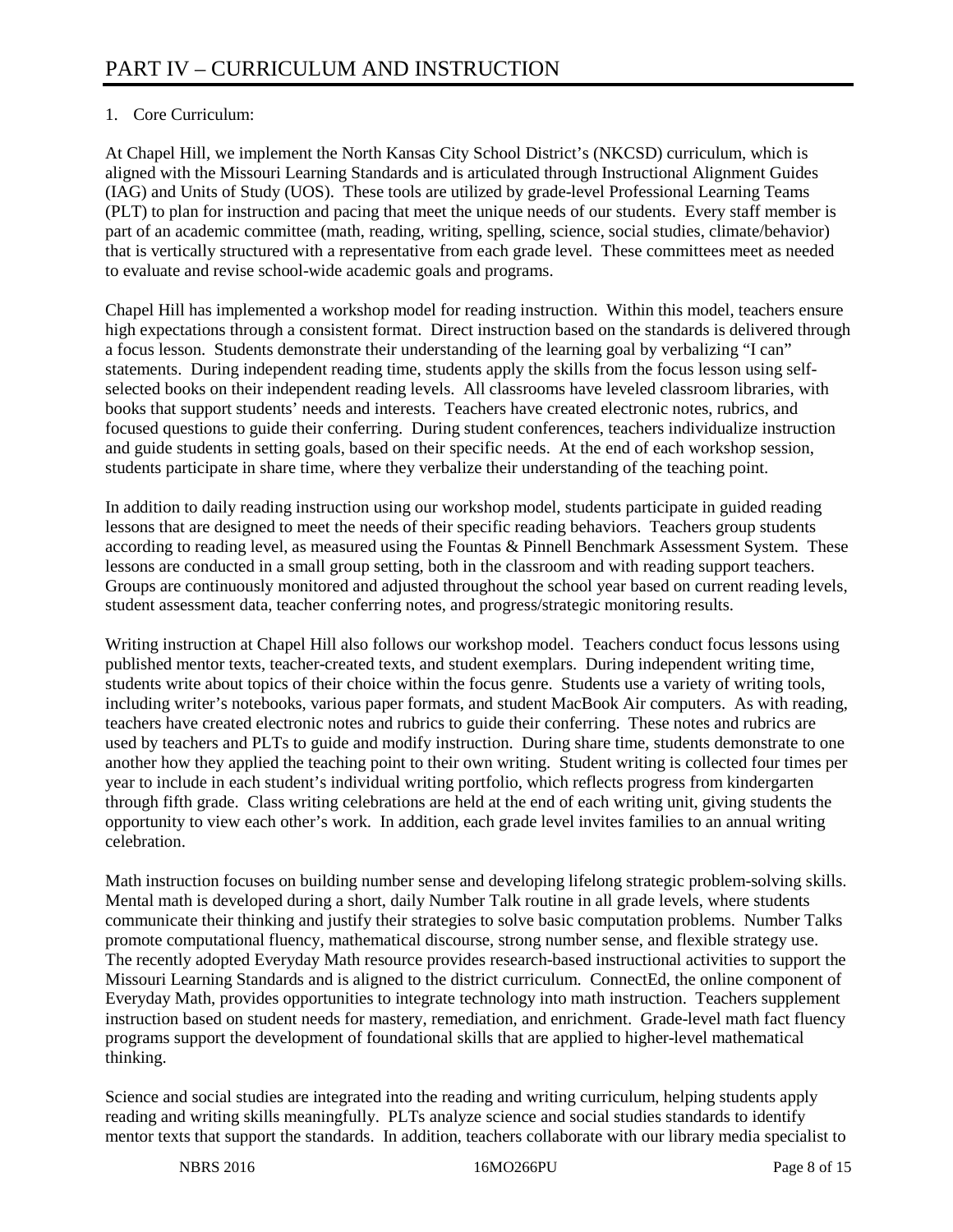# 1. Core Curriculum:

At Chapel Hill, we implement the North Kansas City School District's (NKCSD) curriculum, which is aligned with the Missouri Learning Standards and is articulated through Instructional Alignment Guides (IAG) and Units of Study (UOS). These tools are utilized by grade-level Professional Learning Teams (PLT) to plan for instruction and pacing that meet the unique needs of our students. Every staff member is part of an academic committee (math, reading, writing, spelling, science, social studies, climate/behavior) that is vertically structured with a representative from each grade level. These committees meet as needed to evaluate and revise school-wide academic goals and programs.

Chapel Hill has implemented a workshop model for reading instruction. Within this model, teachers ensure high expectations through a consistent format. Direct instruction based on the standards is delivered through a focus lesson. Students demonstrate their understanding of the learning goal by verbalizing "I can" statements. During independent reading time, students apply the skills from the focus lesson using selfselected books on their independent reading levels. All classrooms have leveled classroom libraries, with books that support students' needs and interests. Teachers have created electronic notes, rubrics, and focused questions to guide their conferring. During student conferences, teachers individualize instruction and guide students in setting goals, based on their specific needs. At the end of each workshop session, students participate in share time, where they verbalize their understanding of the teaching point.

In addition to daily reading instruction using our workshop model, students participate in guided reading lessons that are designed to meet the needs of their specific reading behaviors. Teachers group students according to reading level, as measured using the Fountas & Pinnell Benchmark Assessment System. These lessons are conducted in a small group setting, both in the classroom and with reading support teachers. Groups are continuously monitored and adjusted throughout the school year based on current reading levels, student assessment data, teacher conferring notes, and progress/strategic monitoring results.

Writing instruction at Chapel Hill also follows our workshop model. Teachers conduct focus lessons using published mentor texts, teacher-created texts, and student exemplars. During independent writing time, students write about topics of their choice within the focus genre. Students use a variety of writing tools, including writer's notebooks, various paper formats, and student MacBook Air computers. As with reading, teachers have created electronic notes and rubrics to guide their conferring. These notes and rubrics are used by teachers and PLTs to guide and modify instruction. During share time, students demonstrate to one another how they applied the teaching point to their own writing. Student writing is collected four times per year to include in each student's individual writing portfolio, which reflects progress from kindergarten through fifth grade. Class writing celebrations are held at the end of each writing unit, giving students the opportunity to view each other's work. In addition, each grade level invites families to an annual writing celebration.

Math instruction focuses on building number sense and developing lifelong strategic problem-solving skills. Mental math is developed during a short, daily Number Talk routine in all grade levels, where students communicate their thinking and justify their strategies to solve basic computation problems. Number Talks promote computational fluency, mathematical discourse, strong number sense, and flexible strategy use. The recently adopted Everyday Math resource provides research-based instructional activities to support the Missouri Learning Standards and is aligned to the district curriculum. ConnectEd, the online component of Everyday Math, provides opportunities to integrate technology into math instruction. Teachers supplement instruction based on student needs for mastery, remediation, and enrichment. Grade-level math fact fluency programs support the development of foundational skills that are applied to higher-level mathematical thinking.

Science and social studies are integrated into the reading and writing curriculum, helping students apply reading and writing skills meaningfully. PLTs analyze science and social studies standards to identify mentor texts that support the standards. In addition, teachers collaborate with our library media specialist to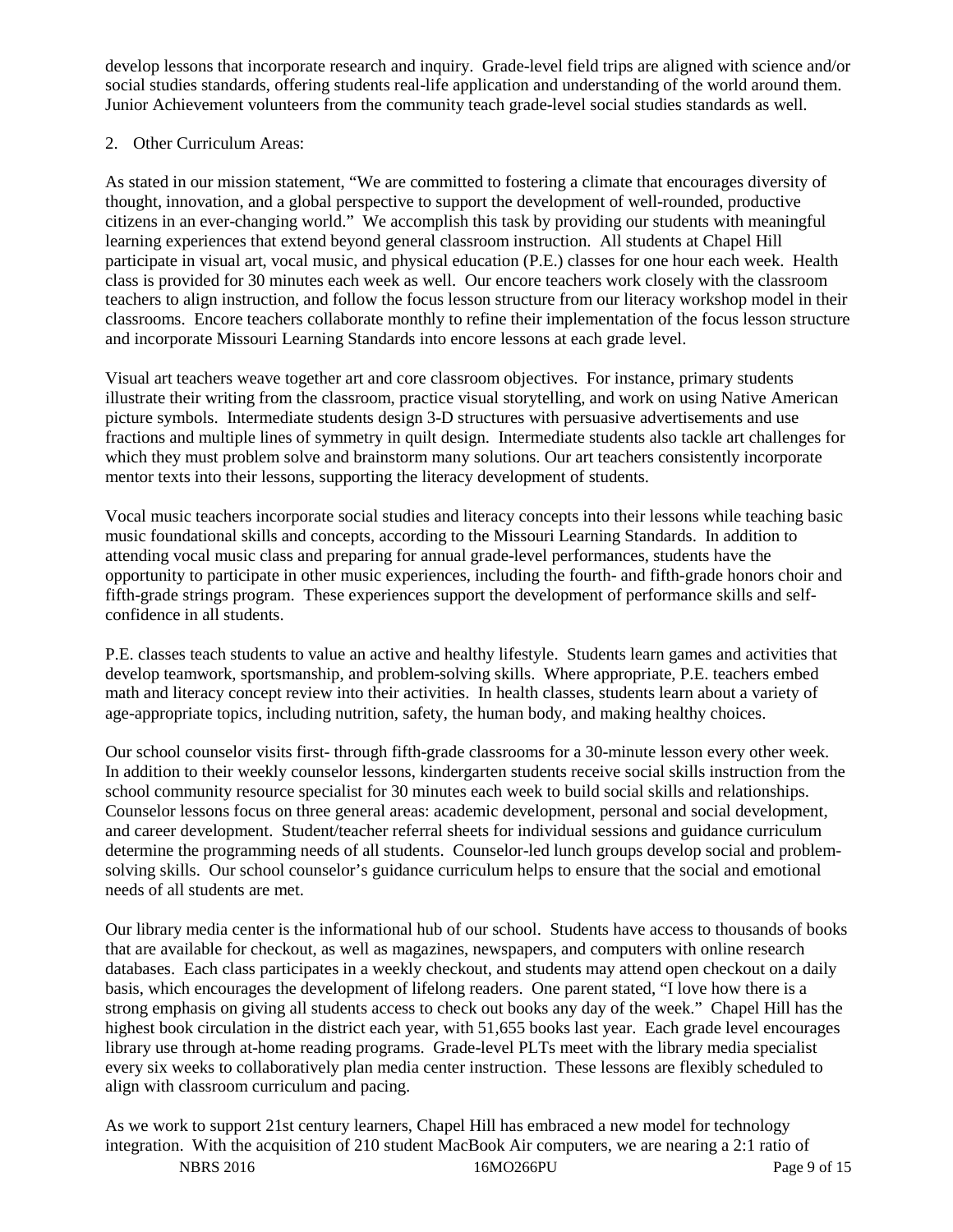develop lessons that incorporate research and inquiry. Grade-level field trips are aligned with science and/or social studies standards, offering students real-life application and understanding of the world around them. Junior Achievement volunteers from the community teach grade-level social studies standards as well.

# 2. Other Curriculum Areas:

As stated in our mission statement, "We are committed to fostering a climate that encourages diversity of thought, innovation, and a global perspective to support the development of well-rounded, productive citizens in an ever-changing world." We accomplish this task by providing our students with meaningful learning experiences that extend beyond general classroom instruction. All students at Chapel Hill participate in visual art, vocal music, and physical education (P.E.) classes for one hour each week. Health class is provided for 30 minutes each week as well. Our encore teachers work closely with the classroom teachers to align instruction, and follow the focus lesson structure from our literacy workshop model in their classrooms. Encore teachers collaborate monthly to refine their implementation of the focus lesson structure and incorporate Missouri Learning Standards into encore lessons at each grade level.

Visual art teachers weave together art and core classroom objectives. For instance, primary students illustrate their writing from the classroom, practice visual storytelling, and work on using Native American picture symbols. Intermediate students design 3-D structures with persuasive advertisements and use fractions and multiple lines of symmetry in quilt design. Intermediate students also tackle art challenges for which they must problem solve and brainstorm many solutions. Our art teachers consistently incorporate mentor texts into their lessons, supporting the literacy development of students.

Vocal music teachers incorporate social studies and literacy concepts into their lessons while teaching basic music foundational skills and concepts, according to the Missouri Learning Standards. In addition to attending vocal music class and preparing for annual grade-level performances, students have the opportunity to participate in other music experiences, including the fourth- and fifth-grade honors choir and fifth-grade strings program. These experiences support the development of performance skills and selfconfidence in all students.

P.E. classes teach students to value an active and healthy lifestyle. Students learn games and activities that develop teamwork, sportsmanship, and problem-solving skills. Where appropriate, P.E. teachers embed math and literacy concept review into their activities. In health classes, students learn about a variety of age-appropriate topics, including nutrition, safety, the human body, and making healthy choices.

Our school counselor visits first- through fifth-grade classrooms for a 30-minute lesson every other week. In addition to their weekly counselor lessons, kindergarten students receive social skills instruction from the school community resource specialist for 30 minutes each week to build social skills and relationships. Counselor lessons focus on three general areas: academic development, personal and social development, and career development. Student/teacher referral sheets for individual sessions and guidance curriculum determine the programming needs of all students. Counselor-led lunch groups develop social and problemsolving skills. Our school counselor's guidance curriculum helps to ensure that the social and emotional needs of all students are met.

Our library media center is the informational hub of our school. Students have access to thousands of books that are available for checkout, as well as magazines, newspapers, and computers with online research databases. Each class participates in a weekly checkout, and students may attend open checkout on a daily basis, which encourages the development of lifelong readers. One parent stated, "I love how there is a strong emphasis on giving all students access to check out books any day of the week." Chapel Hill has the highest book circulation in the district each year, with 51,655 books last year. Each grade level encourages library use through at-home reading programs. Grade-level PLTs meet with the library media specialist every six weeks to collaboratively plan media center instruction. These lessons are flexibly scheduled to align with classroom curriculum and pacing.

NBRS 2016 **16MO266PU** Page 9 of 15 As we work to support 21st century learners, Chapel Hill has embraced a new model for technology integration. With the acquisition of 210 student MacBook Air computers, we are nearing a 2:1 ratio of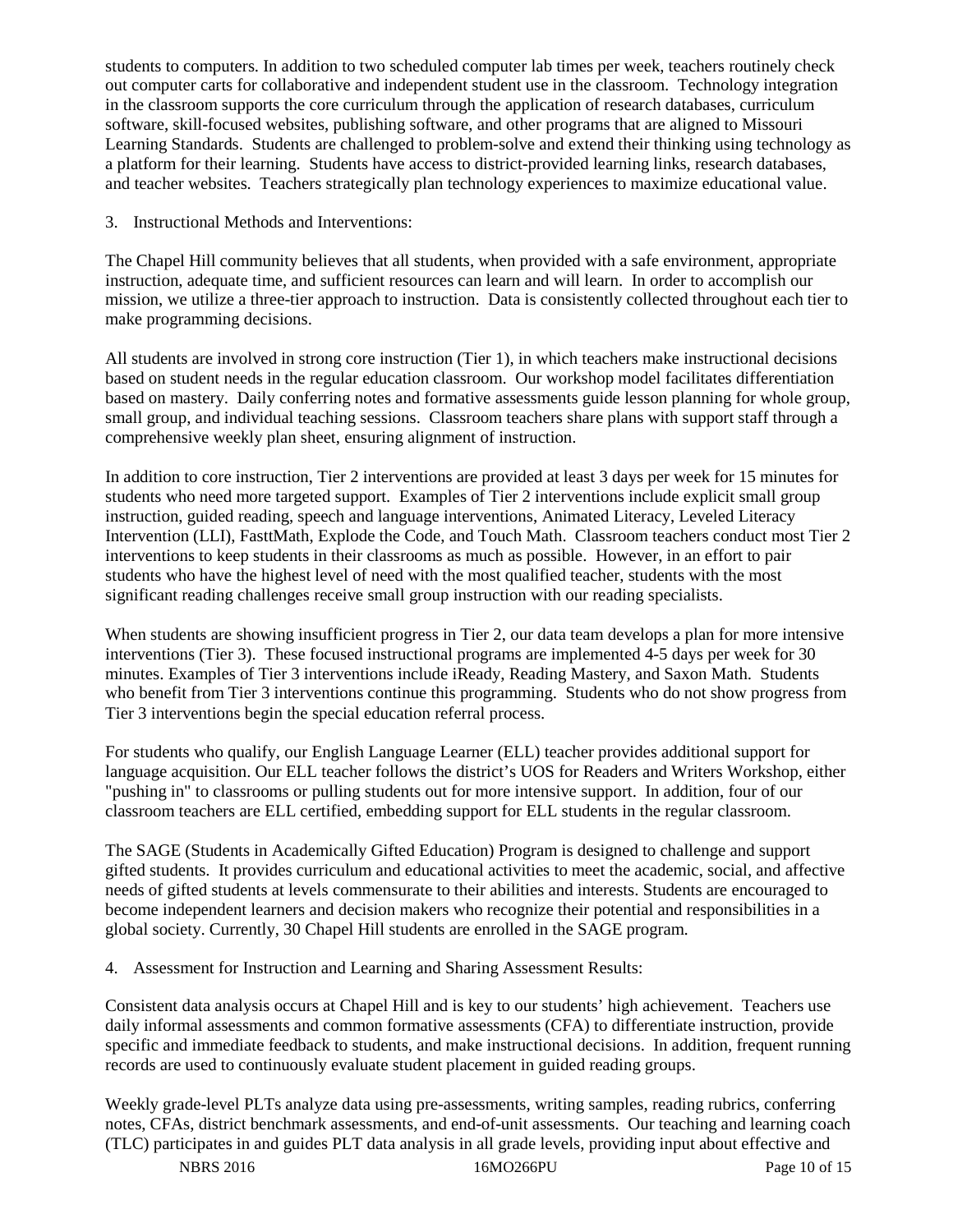students to computers. In addition to two scheduled computer lab times per week, teachers routinely check out computer carts for collaborative and independent student use in the classroom. Technology integration in the classroom supports the core curriculum through the application of research databases, curriculum software, skill-focused websites, publishing software, and other programs that are aligned to Missouri Learning Standards. Students are challenged to problem-solve and extend their thinking using technology as a platform for their learning. Students have access to district-provided learning links, research databases, and teacher websites. Teachers strategically plan technology experiences to maximize educational value.

3. Instructional Methods and Interventions:

The Chapel Hill community believes that all students, when provided with a safe environment, appropriate instruction, adequate time, and sufficient resources can learn and will learn. In order to accomplish our mission, we utilize a three-tier approach to instruction. Data is consistently collected throughout each tier to make programming decisions.

All students are involved in strong core instruction (Tier 1), in which teachers make instructional decisions based on student needs in the regular education classroom. Our workshop model facilitates differentiation based on mastery. Daily conferring notes and formative assessments guide lesson planning for whole group, small group, and individual teaching sessions. Classroom teachers share plans with support staff through a comprehensive weekly plan sheet, ensuring alignment of instruction.

In addition to core instruction, Tier 2 interventions are provided at least 3 days per week for 15 minutes for students who need more targeted support. Examples of Tier 2 interventions include explicit small group instruction, guided reading, speech and language interventions, Animated Literacy, Leveled Literacy Intervention (LLI), FasttMath, Explode the Code, and Touch Math. Classroom teachers conduct most Tier 2 interventions to keep students in their classrooms as much as possible. However, in an effort to pair students who have the highest level of need with the most qualified teacher, students with the most significant reading challenges receive small group instruction with our reading specialists.

When students are showing insufficient progress in Tier 2, our data team develops a plan for more intensive interventions (Tier 3). These focused instructional programs are implemented 4-5 days per week for 30 minutes. Examples of Tier 3 interventions include iReady, Reading Mastery, and Saxon Math. Students who benefit from Tier 3 interventions continue this programming. Students who do not show progress from Tier 3 interventions begin the special education referral process.

For students who qualify, our English Language Learner (ELL) teacher provides additional support for language acquisition. Our ELL teacher follows the district's UOS for Readers and Writers Workshop, either "pushing in" to classrooms or pulling students out for more intensive support. In addition, four of our classroom teachers are ELL certified, embedding support for ELL students in the regular classroom.

The SAGE (Students in Academically Gifted Education) Program is designed to challenge and support gifted students. It provides curriculum and educational activities to meet the academic, social, and affective needs of gifted students at levels commensurate to their abilities and interests. Students are encouraged to become independent learners and decision makers who recognize their potential and responsibilities in a global society. Currently, 30 Chapel Hill students are enrolled in the SAGE program.

4. Assessment for Instruction and Learning and Sharing Assessment Results:

Consistent data analysis occurs at Chapel Hill and is key to our students' high achievement. Teachers use daily informal assessments and common formative assessments (CFA) to differentiate instruction, provide specific and immediate feedback to students, and make instructional decisions. In addition, frequent running records are used to continuously evaluate student placement in guided reading groups.

Weekly grade-level PLTs analyze data using pre-assessments, writing samples, reading rubrics, conferring notes, CFAs, district benchmark assessments, and end-of-unit assessments. Our teaching and learning coach (TLC) participates in and guides PLT data analysis in all grade levels, providing input about effective and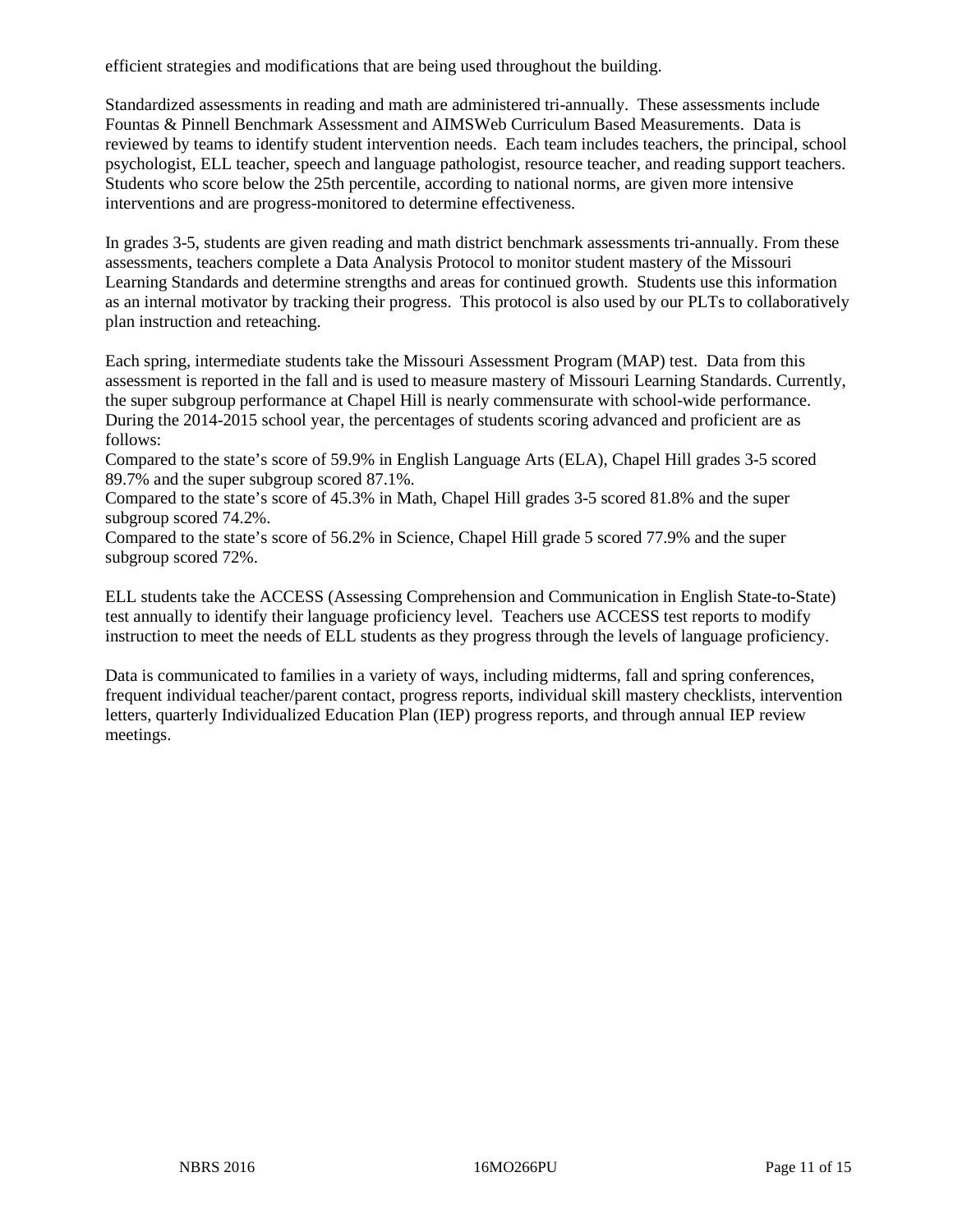efficient strategies and modifications that are being used throughout the building.

Standardized assessments in reading and math are administered tri-annually. These assessments include Fountas & Pinnell Benchmark Assessment and AIMSWeb Curriculum Based Measurements. Data is reviewed by teams to identify student intervention needs. Each team includes teachers, the principal, school psychologist, ELL teacher, speech and language pathologist, resource teacher, and reading support teachers. Students who score below the 25th percentile, according to national norms, are given more intensive interventions and are progress-monitored to determine effectiveness.

In grades 3-5, students are given reading and math district benchmark assessments tri-annually. From these assessments, teachers complete a Data Analysis Protocol to monitor student mastery of the Missouri Learning Standards and determine strengths and areas for continued growth. Students use this information as an internal motivator by tracking their progress. This protocol is also used by our PLTs to collaboratively plan instruction and reteaching.

Each spring, intermediate students take the Missouri Assessment Program (MAP) test. Data from this assessment is reported in the fall and is used to measure mastery of Missouri Learning Standards. Currently, the super subgroup performance at Chapel Hill is nearly commensurate with school-wide performance. During the 2014-2015 school year, the percentages of students scoring advanced and proficient are as follows:

Compared to the state's score of 59.9% in English Language Arts (ELA), Chapel Hill grades 3-5 scored 89.7% and the super subgroup scored 87.1%.

Compared to the state's score of 45.3% in Math, Chapel Hill grades 3-5 scored 81.8% and the super subgroup scored 74.2%.

Compared to the state's score of 56.2% in Science, Chapel Hill grade 5 scored 77.9% and the super subgroup scored 72%.

ELL students take the ACCESS (Assessing Comprehension and Communication in English State-to-State) test annually to identify their language proficiency level. Teachers use ACCESS test reports to modify instruction to meet the needs of ELL students as they progress through the levels of language proficiency.

Data is communicated to families in a variety of ways, including midterms, fall and spring conferences, frequent individual teacher/parent contact, progress reports, individual skill mastery checklists, intervention letters, quarterly Individualized Education Plan (IEP) progress reports, and through annual IEP review meetings.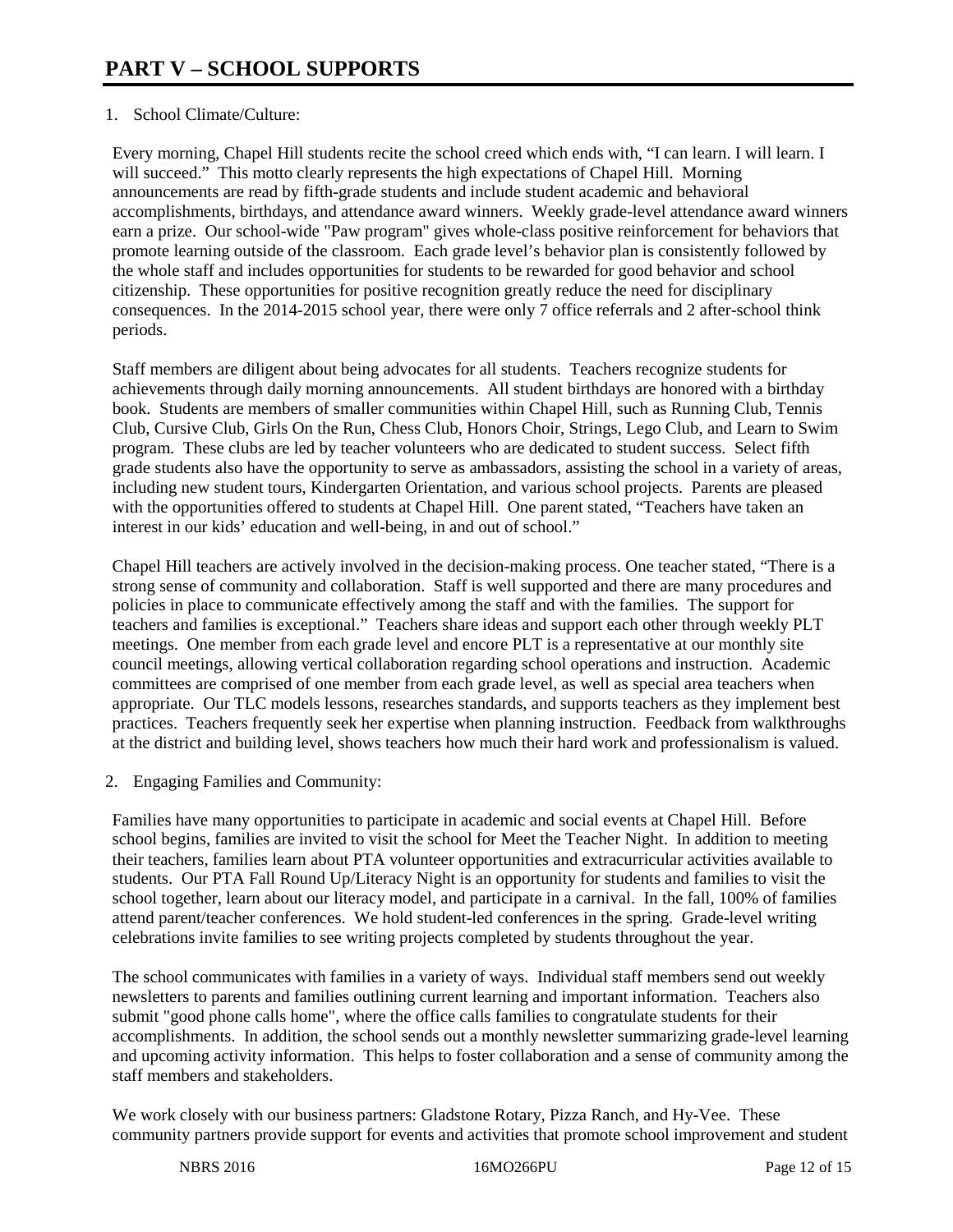# 1. School Climate/Culture:

Every morning, Chapel Hill students recite the school creed which ends with, "I can learn. I will learn. I will succeed." This motto clearly represents the high expectations of Chapel Hill. Morning announcements are read by fifth-grade students and include student academic and behavioral accomplishments, birthdays, and attendance award winners. Weekly grade-level attendance award winners earn a prize. Our school-wide "Paw program" gives whole-class positive reinforcement for behaviors that promote learning outside of the classroom. Each grade level's behavior plan is consistently followed by the whole staff and includes opportunities for students to be rewarded for good behavior and school citizenship. These opportunities for positive recognition greatly reduce the need for disciplinary consequences. In the 2014-2015 school year, there were only 7 office referrals and 2 after-school think periods.

Staff members are diligent about being advocates for all students. Teachers recognize students for achievements through daily morning announcements. All student birthdays are honored with a birthday book. Students are members of smaller communities within Chapel Hill, such as Running Club, Tennis Club, Cursive Club, Girls On the Run, Chess Club, Honors Choir, Strings, Lego Club, and Learn to Swim program. These clubs are led by teacher volunteers who are dedicated to student success. Select fifth grade students also have the opportunity to serve as ambassadors, assisting the school in a variety of areas, including new student tours, Kindergarten Orientation, and various school projects. Parents are pleased with the opportunities offered to students at Chapel Hill. One parent stated, "Teachers have taken an interest in our kids' education and well-being, in and out of school."

Chapel Hill teachers are actively involved in the decision-making process. One teacher stated, "There is a strong sense of community and collaboration. Staff is well supported and there are many procedures and policies in place to communicate effectively among the staff and with the families. The support for teachers and families is exceptional." Teachers share ideas and support each other through weekly PLT meetings. One member from each grade level and encore PLT is a representative at our monthly site council meetings, allowing vertical collaboration regarding school operations and instruction. Academic committees are comprised of one member from each grade level, as well as special area teachers when appropriate. Our TLC models lessons, researches standards, and supports teachers as they implement best practices. Teachers frequently seek her expertise when planning instruction. Feedback from walkthroughs at the district and building level, shows teachers how much their hard work and professionalism is valued.

2. Engaging Families and Community:

Families have many opportunities to participate in academic and social events at Chapel Hill. Before school begins, families are invited to visit the school for Meet the Teacher Night. In addition to meeting their teachers, families learn about PTA volunteer opportunities and extracurricular activities available to students. Our PTA Fall Round Up/Literacy Night is an opportunity for students and families to visit the school together, learn about our literacy model, and participate in a carnival. In the fall, 100% of families attend parent/teacher conferences. We hold student-led conferences in the spring. Grade-level writing celebrations invite families to see writing projects completed by students throughout the year.

The school communicates with families in a variety of ways. Individual staff members send out weekly newsletters to parents and families outlining current learning and important information. Teachers also submit "good phone calls home", where the office calls families to congratulate students for their accomplishments. In addition, the school sends out a monthly newsletter summarizing grade-level learning and upcoming activity information. This helps to foster collaboration and a sense of community among the staff members and stakeholders.

We work closely with our business partners: Gladstone Rotary, Pizza Ranch, and Hy-Vee. These community partners provide support for events and activities that promote school improvement and student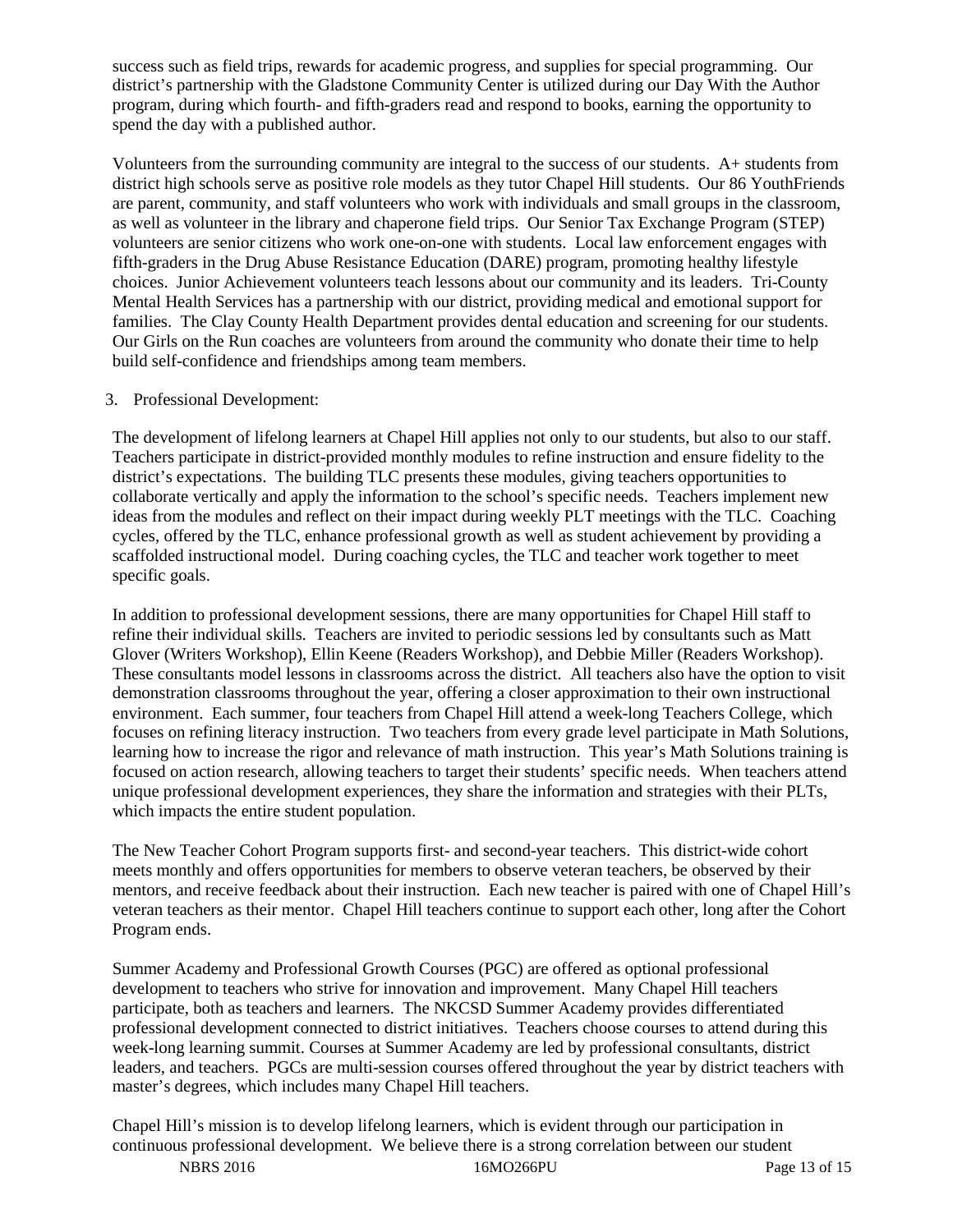success such as field trips, rewards for academic progress, and supplies for special programming. Our district's partnership with the Gladstone Community Center is utilized during our Day With the Author program, during which fourth- and fifth-graders read and respond to books, earning the opportunity to spend the day with a published author.

Volunteers from the surrounding community are integral to the success of our students. A+ students from district high schools serve as positive role models as they tutor Chapel Hill students. Our 86 YouthFriends are parent, community, and staff volunteers who work with individuals and small groups in the classroom, as well as volunteer in the library and chaperone field trips. Our Senior Tax Exchange Program (STEP) volunteers are senior citizens who work one-on-one with students. Local law enforcement engages with fifth-graders in the Drug Abuse Resistance Education (DARE) program, promoting healthy lifestyle choices. Junior Achievement volunteers teach lessons about our community and its leaders. Tri-County Mental Health Services has a partnership with our district, providing medical and emotional support for families. The Clay County Health Department provides dental education and screening for our students. Our Girls on the Run coaches are volunteers from around the community who donate their time to help build self-confidence and friendships among team members.

## 3. Professional Development:

The development of lifelong learners at Chapel Hill applies not only to our students, but also to our staff. Teachers participate in district-provided monthly modules to refine instruction and ensure fidelity to the district's expectations. The building TLC presents these modules, giving teachers opportunities to collaborate vertically and apply the information to the school's specific needs. Teachers implement new ideas from the modules and reflect on their impact during weekly PLT meetings with the TLC. Coaching cycles, offered by the TLC, enhance professional growth as well as student achievement by providing a scaffolded instructional model. During coaching cycles, the TLC and teacher work together to meet specific goals.

In addition to professional development sessions, there are many opportunities for Chapel Hill staff to refine their individual skills. Teachers are invited to periodic sessions led by consultants such as Matt Glover (Writers Workshop), Ellin Keene (Readers Workshop), and Debbie Miller (Readers Workshop). These consultants model lessons in classrooms across the district. All teachers also have the option to visit demonstration classrooms throughout the year, offering a closer approximation to their own instructional environment. Each summer, four teachers from Chapel Hill attend a week-long Teachers College, which focuses on refining literacy instruction. Two teachers from every grade level participate in Math Solutions, learning how to increase the rigor and relevance of math instruction. This year's Math Solutions training is focused on action research, allowing teachers to target their students' specific needs. When teachers attend unique professional development experiences, they share the information and strategies with their PLTs, which impacts the entire student population.

The New Teacher Cohort Program supports first- and second-year teachers. This district-wide cohort meets monthly and offers opportunities for members to observe veteran teachers, be observed by their mentors, and receive feedback about their instruction. Each new teacher is paired with one of Chapel Hill's veteran teachers as their mentor. Chapel Hill teachers continue to support each other, long after the Cohort Program ends.

Summer Academy and Professional Growth Courses (PGC) are offered as optional professional development to teachers who strive for innovation and improvement. Many Chapel Hill teachers participate, both as teachers and learners. The NKCSD Summer Academy provides differentiated professional development connected to district initiatives. Teachers choose courses to attend during this week-long learning summit. Courses at Summer Academy are led by professional consultants, district leaders, and teachers. PGCs are multi-session courses offered throughout the year by district teachers with master's degrees, which includes many Chapel Hill teachers.

Chapel Hill's mission is to develop lifelong learners, which is evident through our participation in continuous professional development. We believe there is a strong correlation between our student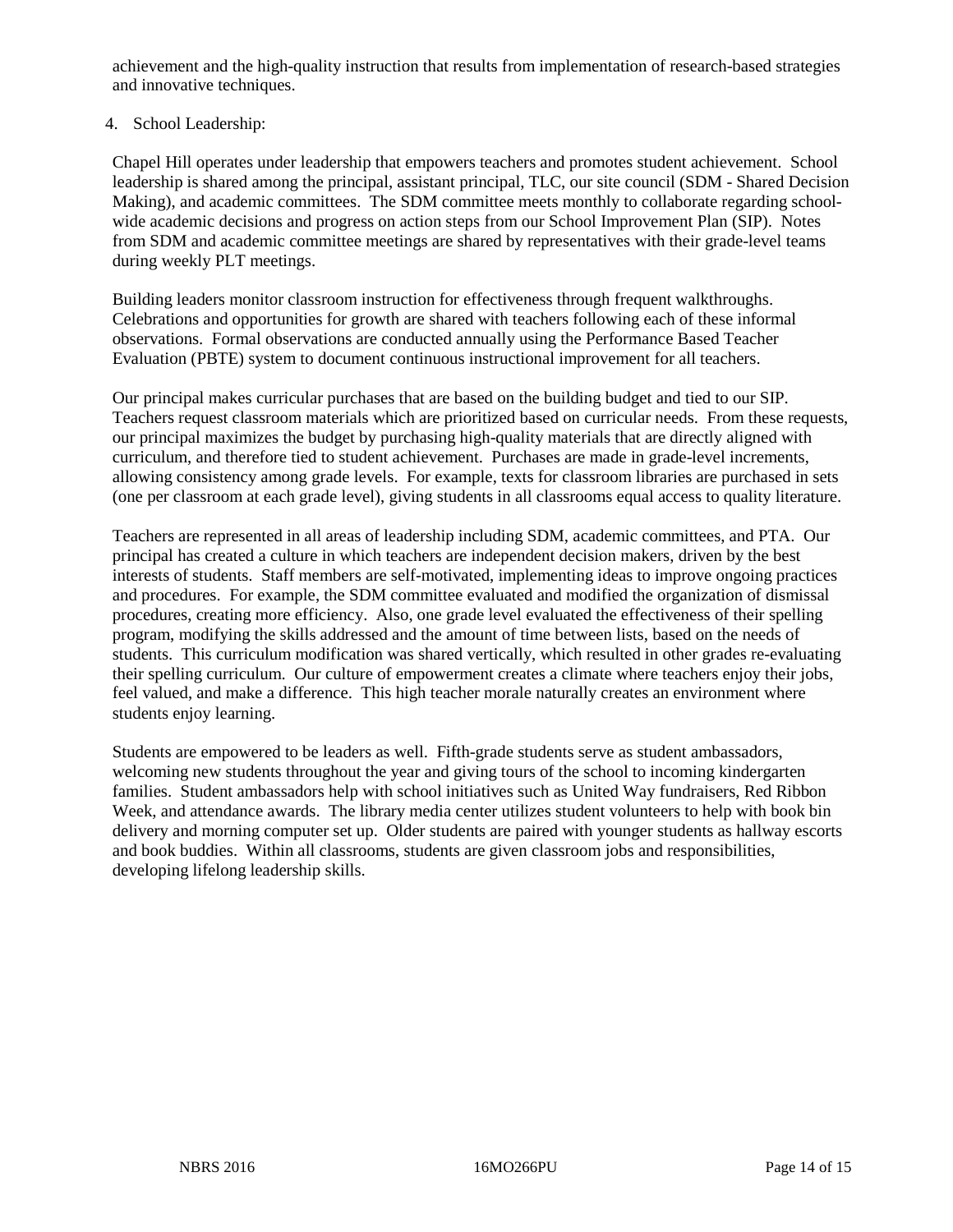achievement and the high-quality instruction that results from implementation of research-based strategies and innovative techniques.

# 4. School Leadership:

Chapel Hill operates under leadership that empowers teachers and promotes student achievement. School leadership is shared among the principal, assistant principal, TLC, our site council (SDM - Shared Decision Making), and academic committees. The SDM committee meets monthly to collaborate regarding schoolwide academic decisions and progress on action steps from our School Improvement Plan (SIP). Notes from SDM and academic committee meetings are shared by representatives with their grade-level teams during weekly PLT meetings.

Building leaders monitor classroom instruction for effectiveness through frequent walkthroughs. Celebrations and opportunities for growth are shared with teachers following each of these informal observations. Formal observations are conducted annually using the Performance Based Teacher Evaluation (PBTE) system to document continuous instructional improvement for all teachers.

Our principal makes curricular purchases that are based on the building budget and tied to our SIP. Teachers request classroom materials which are prioritized based on curricular needs. From these requests, our principal maximizes the budget by purchasing high-quality materials that are directly aligned with curriculum, and therefore tied to student achievement. Purchases are made in grade-level increments, allowing consistency among grade levels. For example, texts for classroom libraries are purchased in sets (one per classroom at each grade level), giving students in all classrooms equal access to quality literature.

Teachers are represented in all areas of leadership including SDM, academic committees, and PTA. Our principal has created a culture in which teachers are independent decision makers, driven by the best interests of students. Staff members are self-motivated, implementing ideas to improve ongoing practices and procedures. For example, the SDM committee evaluated and modified the organization of dismissal procedures, creating more efficiency. Also, one grade level evaluated the effectiveness of their spelling program, modifying the skills addressed and the amount of time between lists, based on the needs of students. This curriculum modification was shared vertically, which resulted in other grades re-evaluating their spelling curriculum. Our culture of empowerment creates a climate where teachers enjoy their jobs, feel valued, and make a difference. This high teacher morale naturally creates an environment where students enjoy learning.

Students are empowered to be leaders as well. Fifth-grade students serve as student ambassadors, welcoming new students throughout the year and giving tours of the school to incoming kindergarten families. Student ambassadors help with school initiatives such as United Way fundraisers, Red Ribbon Week, and attendance awards. The library media center utilizes student volunteers to help with book bin delivery and morning computer set up. Older students are paired with younger students as hallway escorts and book buddies. Within all classrooms, students are given classroom jobs and responsibilities, developing lifelong leadership skills.